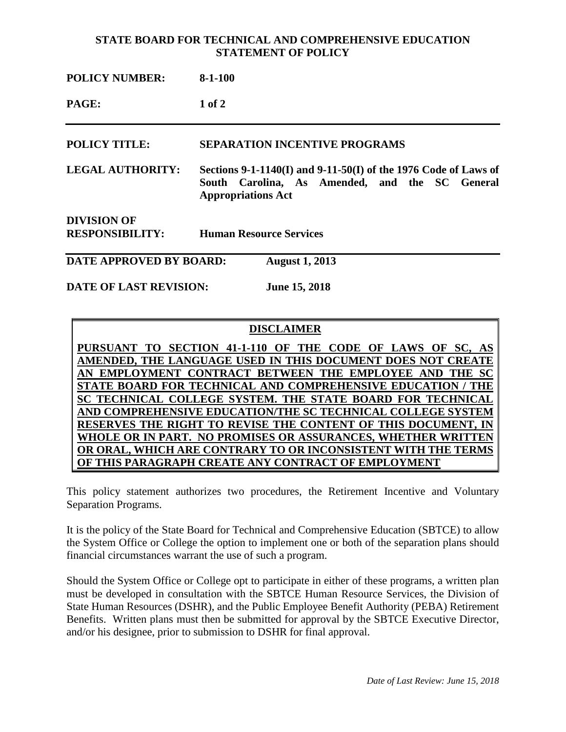## **STATE BOARD FOR TECHNICAL AND COMPREHENSIVE EDUCATION STATEMENT OF POLICY**

| <b>POLICY NUMBER:</b>                        | $8-1-100$                                                                                                                                      |
|----------------------------------------------|------------------------------------------------------------------------------------------------------------------------------------------------|
| PAGE:                                        | $1$ of $2$                                                                                                                                     |
| <b>POLICY TITLE:</b>                         | <b>SEPARATION INCENTIVE PROGRAMS</b>                                                                                                           |
| <b>LEGAL AUTHORITY:</b>                      | Sections 9-1-1140(I) and 9-11-50(I) of the 1976 Code of Laws of<br>South Carolina, As Amended, and the SC General<br><b>Appropriations Act</b> |
| <b>DIVISION OF</b><br><b>RESPONSIBILITY:</b> | <b>Human Resource Services</b>                                                                                                                 |
| DATE APPROVED BY BOARD:                      | <b>August 1, 2013</b>                                                                                                                          |

**DATE OF LAST REVISION: June 15, 2018**

## **DISCLAIMER**

PURSUANT TO SECTION 41-1-110 OF THE CODE OF LAWS OF SC, **AMENDED, THE LANGUAGE USED IN THIS DOCUMENT DOES NOT CREATE AN EMPLOYMENT CONTRACT BETWEEN THE EMPLOYEE AND THE SC STATE BOARD FOR TECHNICAL AND COMPREHENSIVE EDUCATION / THE SC TECHNICAL COLLEGE SYSTEM. THE STATE BOARD FOR TECHNICAL AND COMPREHENSIVE EDUCATION/THE SC TECHNICAL COLLEGE SYSTEM RESERVES THE RIGHT TO REVISE THE CONTENT OF THIS DOCUMENT, IN WHOLE OR IN PART. NO PROMISES OR ASSURANCES, WHETHER WRITTEN OR ORAL, WHICH ARE CONTRARY TO OR INCONSISTENT WITH THE TERMS OF THIS PARAGRAPH CREATE ANY CONTRACT OF EMPLOYMENT**

This policy statement authorizes two procedures, the Retirement Incentive and Voluntary Separation Programs.

It is the policy of the State Board for Technical and Comprehensive Education (SBTCE) to allow the System Office or College the option to implement one or both of the separation plans should financial circumstances warrant the use of such a program.

Should the System Office or College opt to participate in either of these programs, a written plan must be developed in consultation with the SBTCE Human Resource Services, the Division of State Human Resources (DSHR), and the Public Employee Benefit Authority (PEBA) Retirement Benefits. Written plans must then be submitted for approval by the SBTCE Executive Director, and/or his designee, prior to submission to DSHR for final approval.